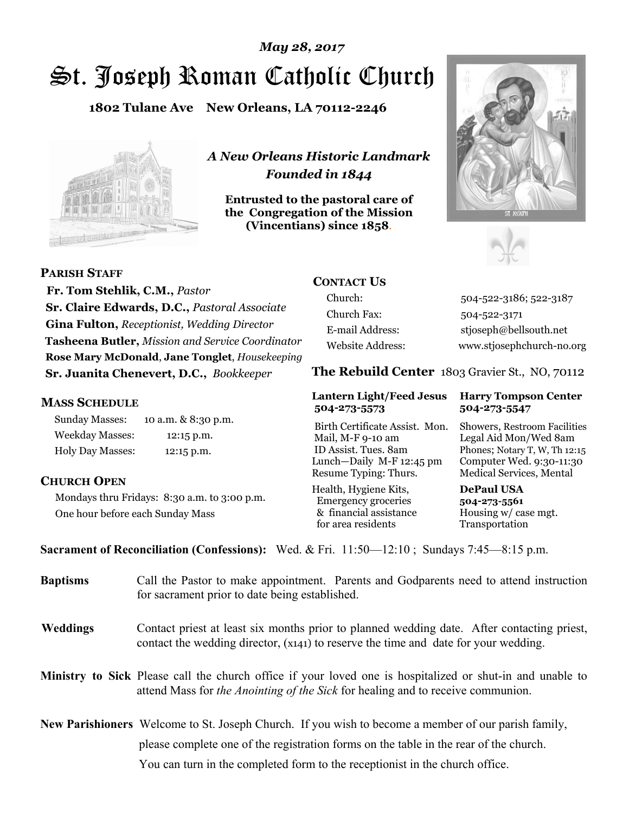# St. Joseph Roman Catholic Church *May 28, 2017*

**1802 Tulane Ave New Orleans, LA 70112-2246**



*A New Orleans Historic Landmark Founded in 1844* 

**Entrusted to the pastoral care of the Congregation of the Mission (Vincentians) since 1858**.





**PARISH STAFF**

 **Fr. Tom Stehlik, C.M.,** *Pastor* **Sr. Claire Edwards, D.C.,** *Pastoral Associate* **Gina Fulton,** *Receptionist, Wedding Director* **Tasheena Butler,** *Mission and Service Coordinator* **Rose Mary McDonald**, **Jane Tonglet**, *Housekeeping* **Sr. Juanita Chenevert, D.C.,** *Bookkeeper* 

#### **MASS SCHEDULE**

Sunday Masses: 10 a.m. & 8:30 p.m. Weekday Masses: 12:15 p.m. Holy Day Masses: 12:15 p.m.

#### **CHURCH OPEN**

Mondays thru Fridays: 8:30 a.m. to 3:00 p.m. One hour before each Sunday Mass

# **CONTACT US**

Church: 504-522-3186; 522-3187 Church Fax: 504-522-3171 E-mail Address: stjoseph@bellsouth.net Website Address: www.stjosephchurch-no.org

**The Rebuild Center** 1803 Gravier St., NO, 70112

#### **Lantern Light/Feed Jesus Harry Tompson Center 504-273-5573 504-273-5547**

Birth Certificate Assist. Mon. Showers, Restroom Facilities Mail, M-F 9-10 am Legal Aid Mon/Wed 8am ID Assist. Tues. 8am Phones; Notary T, W, Th 12:15 Lunch—Daily M-F 12:45 pm Computer Wed. 9:30-11:30 Resume Typing: Thurs. Medical Services, Mental

Health, Hygiene Kits, **DePaul USA**  Emergency groceries **504-273-5561** & financial assistance Housing w/ case mgt. for area residents Transportation

**Sacrament of Reconciliation (Confessions):** Wed. & Fri. 11:50—12:10 ; Sundays 7:45—8:15 p.m.

| <b>Baptisms</b> | Call the Pastor to make appointment. Parents and Godparents need to attend instruction<br>for sacrament prior to date being established.                                                            |
|-----------------|-----------------------------------------------------------------------------------------------------------------------------------------------------------------------------------------------------|
| <b>Weddings</b> | Contact priest at least six months prior to planned wedding date. After contacting priest,<br>contact the wedding director, (x141) to reserve the time and date for your wedding.                   |
|                 | Ministry to Sick Please call the church office if your loved one is hospitalized or shut-in and unable to<br>attend Mass for <i>the Anointing of the Sick</i> for healing and to receive communion. |
|                 | New Parishioners Welcome to St. Joseph Church. If you wish to become a member of our parish family,                                                                                                 |
|                 | please complete one of the registration forms on the table in the rear of the church.                                                                                                               |
|                 | You can turn in the completed form to the reception is the church office.                                                                                                                           |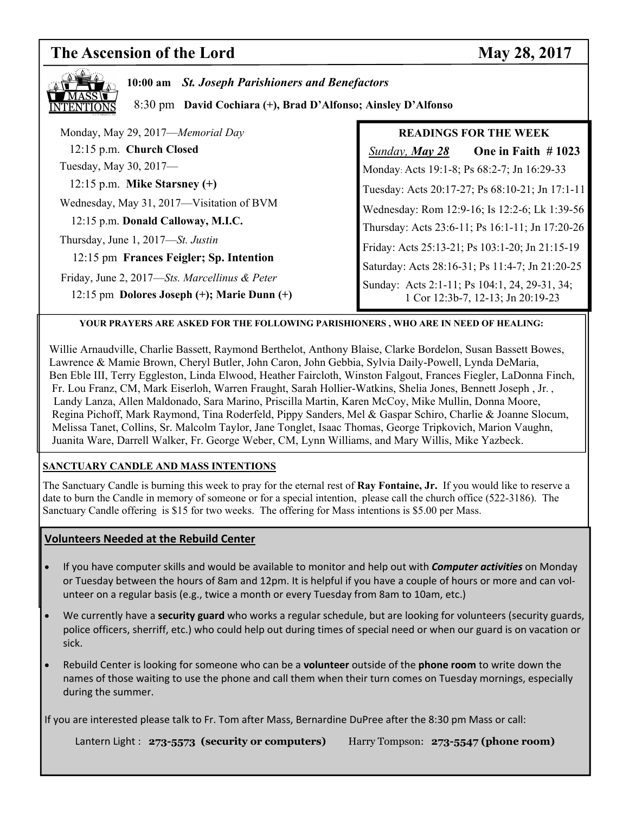# **The Ascension of the Lord May 28, 2017**

| 10:00 am St. Joseph Parishioners and Benefactors<br>8:30 pm David Cochiara (+), Brad D'Alfonso; Ainsley D'Alfonso |                                                                                    |  |  |
|-------------------------------------------------------------------------------------------------------------------|------------------------------------------------------------------------------------|--|--|
| Monday, May 29, 2017—Memorial Day                                                                                 | <b>READINGS FOR THE WEEK</b>                                                       |  |  |
| 12:15 p.m. Church Closed                                                                                          | One in Faith $#1023$<br><b>Sunday, May 28</b>                                      |  |  |
| Tuesday, May 30, 2017-                                                                                            | Monday: Acts 19:1-8; Ps 68:2-7; Jn 16:29-33                                        |  |  |
| 12:15 p.m. Mike Starsney $(+)$                                                                                    | Tuesday: Acts 20:17-27; Ps 68:10-21; Jn 17:1-11                                    |  |  |
| Wednesday, May 31, 2017—Visitation of BVM                                                                         | Wednesday: Rom 12:9-16; Is 12:2-6; Lk 1:39-56                                      |  |  |
| 12:15 p.m. Donald Calloway, M.I.C.                                                                                | Thursday: Acts 23:6-11; Ps 16:1-11; Jn 17:20-26                                    |  |  |
| Thursday, June 1, 2017—St. Justin                                                                                 | Friday: Acts 25:13-21; Ps 103:1-20; Jn 21:15-19                                    |  |  |
| 12:15 pm Frances Feigler; Sp. Intention                                                                           | Saturday: Acts 28:16-31; Ps 11:4-7; Jn 21:20-25                                    |  |  |
| Friday, June 2, 2017—Sts. Marcellinus & Peter<br>12:15 pm Dolores Joseph $(+)$ ; Marie Dunn $(+)$                 | Sunday: Acts 2:1-11; Ps 104:1, 24, 29-31, 34;<br>1 Cor 12:3b-7, 12-13; Jn 20:19-23 |  |  |

#### **YOUR PRAYERS ARE ASKED FOR THE FOLLOWING PARISHIONERS , WHO ARE IN NEED OF HEALING:**

 Willie Arnaudville, Charlie Bassett, Raymond Berthelot, Anthony Blaise, Clarke Bordelon, Susan Bassett Bowes, Lawrence & Mamie Brown, Cheryl Butler, John Caron, John Gebbia, Sylvia Daily-Powell, Lynda DeMaria, Ben Eble III, Terry Eggleston, Linda Elwood, Heather Faircloth, Winston Falgout, Frances Fiegler, LaDonna Finch, Fr. Lou Franz, CM, Mark Eiserloh, Warren Fraught, Sarah Hollier-Watkins, Shelia Jones, Bennett Joseph , Jr. , Landy Lanza, Allen Maldonado, Sara Marino, Priscilla Martin, Karen McCoy, Mike Mullin, Donna Moore, Regina Pichoff, Mark Raymond, Tina Roderfeld, Pippy Sanders, Mel & Gaspar Schiro, Charlie & Joanne Slocum, Melissa Tanet, Collins, Sr. Malcolm Taylor, Jane Tonglet, Isaac Thomas, George Tripkovich, Marion Vaughn, Juanita Ware, Darrell Walker, Fr. George Weber, CM, Lynn Williams, and Mary Willis, Mike Yazbeck.

#### **SANCTUARY CANDLE AND MASS INTENTIONS**

The Sanctuary Candle is burning this week to pray for the eternal rest of **Ray Fontaine, Jr.** If you would like to reserve a date to burn the Candle in memory of someone or for a special intention, please call the church office (522-3186). The Sanctuary Candle offering is \$15 for two weeks. The offering for Mass intentions is \$5.00 per Mass.

#### **Volunteers Needed at the Rebuild Center**

- If you have computer skills and would be available to monitor and help out with *Computer activities* on Monday or Tuesday between the hours of 8am and 12pm. It is helpful if you have a couple of hours or more and can volunteer on a regular basis (e.g., twice a month or every Tuesday from 8am to 10am, etc.)
- We currently have a **security guard** who works a regular schedule, but are looking for volunteers (security guards, police officers, sherriff, etc.) who could help out during times of special need or when our guard is on vacation or sick.
- Rebuild Center is looking for someone who can be a **volunteer** outside of the **phone room** to write down the names of those waiting to use the phone and call them when their turn comes on Tuesday mornings, especially during the summer.

If you are interested please talk to Fr. Tom after Mass, Bernardine DuPree after the 8:30 pm Mass or call:

Lantern Light : **273-5573 (security or computers)** Harry Tompson: **273-5547 (phone room)**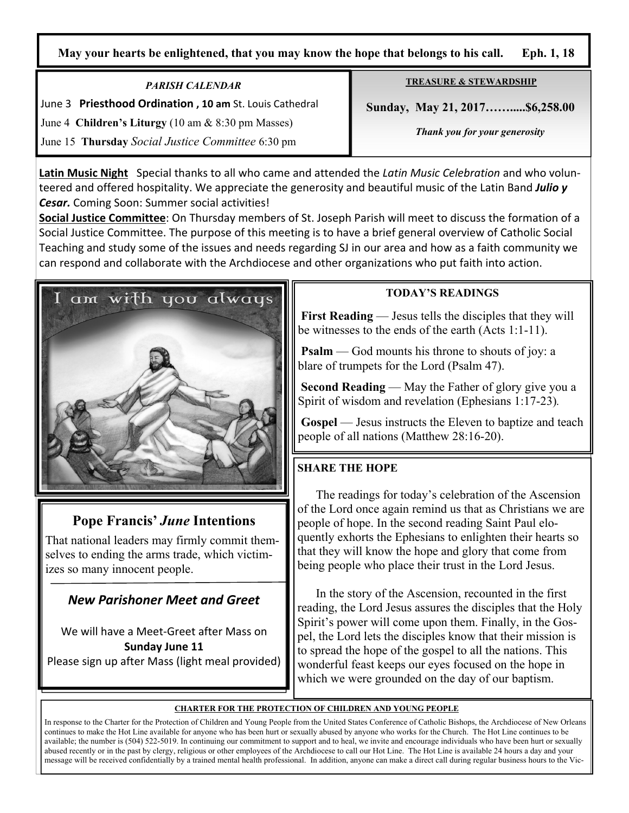## **May your hearts be enlightened, that you may know the hope that belongs to his call. Eph. 1, 18**

*PARISH CALENDAR*  June 3 **Priesthood Ordination , 10 am** St. Louis Cathedral June 4 **Children's Liturgy** (10 am & 8:30 pm Masses) June 15 **Thursday** *Social Justice Committee* 6:30 pm

**TREASURE & STEWARDSHIP**

 **Sunday, May 21, 2017…….....\$6,258.00** 

*Thank you for your generosity* 

**Latin Music Night** Special thanks to all who came and attended the *Latin Music Celebration* and who volunteered and offered hospitality. We appreciate the generosity and beautiful music of the Latin Band *Julio y Cesar.* Coming Soon: Summer social activities!

**Social Justice Committee**: On Thursday members of St. Joseph Parish will meet to discuss the formation of a Social Justice Committee. The purpose of this meeting is to have a brief general overview of Catholic Social Teaching and study some of the issues and needs regarding SJ in our area and how as a faith community we can respond and collaborate with the Archdiocese and other organizations who put faith into action.



# **Pope Francis'** *June* **Intentions**

That national leaders may firmly commit themselves to ending the arms trade, which victimizes so many innocent people.

# *New Parishoner Meet and Greet*

We will have a Meet-Greet after Mass on **Sunday June 11**

Please sign up after Mass (light meal provided)

### **TODAY'S READINGS**

**First Reading** — Jesus tells the disciples that they will be witnesses to the ends of the earth (Acts 1:1-11).

**Psalm** — God mounts his throne to shouts of joy: a blare of trumpets for the Lord (Psalm 47).

 **Second Reading** — May the Father of glory give you a Spirit of wisdom and revelation (Ephesians 1:17-23)*.* 

 **Gospel** — Jesus instructs the Eleven to baptize and teach people of all nations (Matthew 28:16-20).

# **SHARE THE HOPE**

 The readings for today's celebration of the Ascension of the Lord once again remind us that as Christians we are people of hope. In the second reading Saint Paul eloquently exhorts the Ephesians to enlighten their hearts so that they will know the hope and glory that come from being people who place their trust in the Lord Jesus.

 In the story of the Ascension, recounted in the first reading, the Lord Jesus assures the disciples that the Holy Spirit's power will come upon them. Finally, in the Gospel, the Lord lets the disciples know that their mission is to spread the hope of the gospel to all the nations. This wonderful feast keeps our eyes focused on the hope in which we were grounded on the day of our baptism.

#### **CHARTER FOR THE PROTECTION OF CHILDREN AND YOUNG PEOPLE**

In response to the Charter for the Protection of Children and Young People from the United States Conference of Catholic Bishops, the Archdiocese of New Orleans continues to make the Hot Line available for anyone who has been hurt or sexually abused by anyone who works for the Church. The Hot Line continues to be available; the number is (504) 522-5019. In continuing our commitment to support and to heal, we invite and encourage individuals who have been hurt or sexually abused recently or in the past by clergy, religious or other employees of the Archdiocese to call our Hot Line. The Hot Line is available 24 hours a day and your message will be received confidentially by a trained mental health professional. In addition, anyone can make a direct call during regular business hours to the Vic-